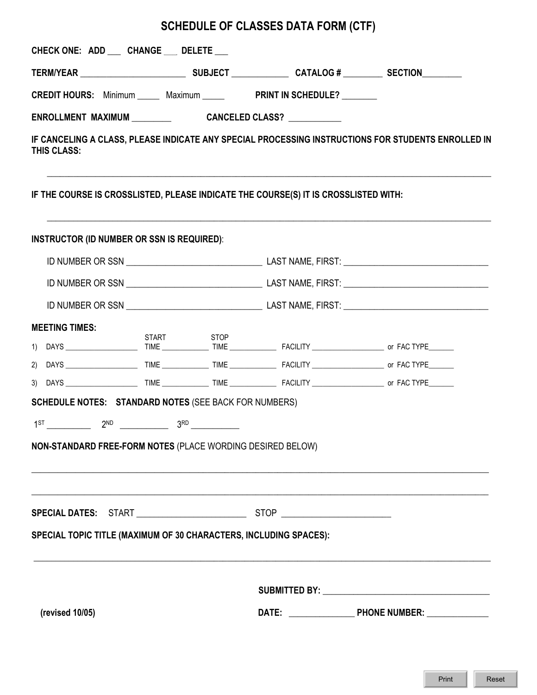## **SCHEDULE OF CLASSES DATA FORM (CTF)**

| CHECK ONE: ADD __ CHANGE __ DELETE __                                               |            |  |  |                                                                                                    |
|-------------------------------------------------------------------------------------|------------|--|--|----------------------------------------------------------------------------------------------------|
|                                                                                     |            |  |  |                                                                                                    |
| CREDIT HOURS: Minimum _____ Maximum _____ PRINT IN SCHEDULE? _______                |            |  |  |                                                                                                    |
|                                                                                     |            |  |  |                                                                                                    |
| THIS CLASS:                                                                         |            |  |  | IF CANCELING A CLASS, PLEASE INDICATE ANY SPECIAL PROCESSING INSTRUCTIONS FOR STUDENTS ENROLLED IN |
| IF THE COURSE IS CROSSLISTED, PLEASE INDICATE THE COURSE(S) IT IS CROSSLISTED WITH: |            |  |  |                                                                                                    |
| <b>INSTRUCTOR (ID NUMBER OR SSN IS REQUIRED):</b>                                   |            |  |  |                                                                                                    |
|                                                                                     |            |  |  |                                                                                                    |
|                                                                                     |            |  |  |                                                                                                    |
|                                                                                     |            |  |  |                                                                                                    |
| <b>MEETING TIMES:</b>                                                               |            |  |  |                                                                                                    |
|                                                                                     | START STOP |  |  |                                                                                                    |
|                                                                                     |            |  |  |                                                                                                    |
|                                                                                     |            |  |  |                                                                                                    |
| <b>SCHEDULE NOTES: STANDARD NOTES (SEE BACK FOR NUMBERS)</b>                        |            |  |  |                                                                                                    |
|                                                                                     |            |  |  |                                                                                                    |
| NON-STANDARD FREE-FORM NOTES (PLACE WORDING DESIRED BELOW)                          |            |  |  |                                                                                                    |
|                                                                                     |            |  |  |                                                                                                    |
|                                                                                     |            |  |  |                                                                                                    |
| SPECIAL TOPIC TITLE (MAXIMUM OF 30 CHARACTERS, INCLUDING SPACES):                   |            |  |  |                                                                                                    |
|                                                                                     |            |  |  |                                                                                                    |
| (revised 10/05)                                                                     |            |  |  |                                                                                                    |